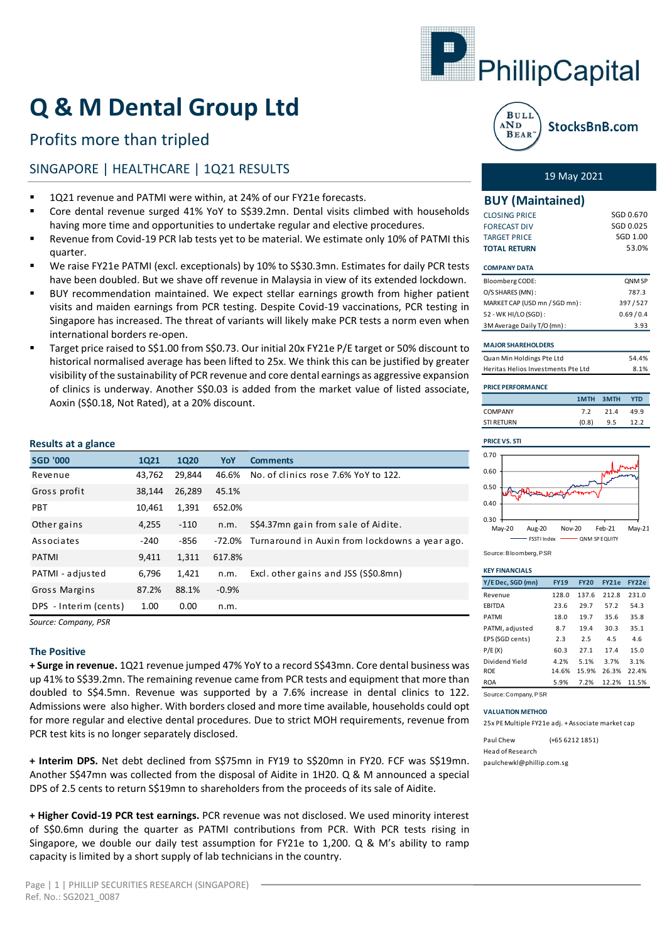

# **Q & M Dental Group Ltd**

# Profits more than tripled

# SINGAPORE | HEALTHCARE | 1Q21 RESULTS 19 May 2021

- 1Q21 revenue and PATMI were within, at 24% of our FY21e forecasts.
- Core dental revenue surged 41% YoY to S\$39.2mn. Dental visits climbed with households having more time and opportunities to undertake regular and elective procedures.
- Revenue from Covid-19 PCR lab tests yet to be material. We estimate only 10% of PATMI this quarter.
- We raise FY21e PATMI (excl. exceptionals) by 10% to S\$30.3mn. Estimates for daily PCR tests have been doubled. But we shave off revenue in Malaysia in view of its extended lockdown.
- BUY recommendation maintained. We expect stellar earnings growth from higher patient visits and maiden earnings from PCR testing. Despite Covid-19 vaccinations, PCR testing in Singapore has increased. The threat of variants will likely make PCR tests a norm even when international borders re-open.
- Target price raised to S\$1.00 from S\$0.73. Our initial 20x FY21e P/E target or 50% discount to historical normalised average has been lifted to 25x. We think this can be justified by greater visibility of the sustainability of PCR revenue and core dental earnings as aggressive expansion of clinics is underway. Another S\$0.03 is added from the market value of listed associate, Aoxin (S\$0.18, Not Rated), at a 20% discount.

# **Results at a glance**

| <b>SGD '000</b>       | <b>1Q21</b> | <b>1Q20</b> | YoY     | <b>Comments</b>                                       |
|-----------------------|-------------|-------------|---------|-------------------------------------------------------|
| Revenue               | 43,762      | 29,844      | 46.6%   | No. of clinics rose 7.6% YoY to 122.                  |
| Gross profit          | 38,144      | 26,289      | 45.1%   |                                                       |
| <b>PBT</b>            | 10,461      | 1,391       | 652.0%  |                                                       |
| Other gains           | 4,255       | $-110$      | n.m.    | S\$4.37mn gain from sale of Aidite.                   |
| Associates            | $-240$      | $-856$      |         | -72.0% Turnaround in Auxin from lockdowns a year ago. |
| <b>PATMI</b>          | 9,411       | 1,311       | 617.8%  |                                                       |
| PATMI - adjusted      | 6,796       | 1,421       | n.m.    | Excl. other gains and JSS (S\$0.8mn)                  |
| Gross Margins         | 87.2%       | 88.1%       | $-0.9%$ |                                                       |
| DPS - Interim (cents) | 1.00        | 0.00        | n.m.    |                                                       |

*Source: Company, PSR*

# **The Positive**

**+ Surge in revenue.** 1Q21 revenue jumped 47% YoY to a record S\$43mn. Core dental business was up 41% to S\$39.2mn. The remaining revenue came from PCR tests and equipment that more than doubled to S\$4.5mn. Revenue was supported by a 7.6% increase in dental clinics to 122. Admissions were also higher. With borders closed and more time available, households could opt for more regular and elective dental procedures. Due to strict MOH requirements, revenue from PCR test kits is no longer separately disclosed.

**+ Interim DPS.** Net debt declined from S\$75mn in FY19 to S\$20mn in FY20. FCF was S\$19mn. Another S\$47mn was collected from the disposal of Aidite in 1H20. Q & M announced a special DPS of 2.5 cents to return S\$19mn to shareholders from the proceeds of its sale of Aidite.

**+ Higher Covid-19 PCR test earnings.** PCR revenue was not disclosed. We used minority interest of S\$0.6mn during the quarter as PATMI contributions from PCR. With PCR tests rising in Singapore, we double our daily test assumption for FY21e to 1,200. Q & M's ability to ramp capacity is limited by a short supply of lab technicians in the country.



# **BUY (Maintained)**

| <b>CLOSING PRICE</b> | SGD 0.670 |
|----------------------|-----------|
| <b>FORECAST DIV</b>  | SGD 0.025 |
| <b>TARGET PRICE</b>  | SGD 1.00  |
| <b>TOTAL RETURN</b>  | 53.0%     |
|                      |           |

# **COMPANY DATA**

| <b>Bloomberg CODE:</b>        | <b>ONM SP</b> |
|-------------------------------|---------------|
| O/S SHARES (MN):              | 787.3         |
| MARKET CAP (USD mn / SGD mn): | 397/527       |
| 52 - WK HI/LO (SGD):          | 0.69/0.4      |
| 3M Average Daily T/O (mn):    | 3.93          |

# **MAJOR SHAREHOLDERS**

| Quan Min Holdings Pte Ltd          | 54.4% |
|------------------------------------|-------|
| Heritas Helios Investments Pte Ltd | 8.1%  |

# **PRICE PERFORMANCE**

|                   | 1MTH 3MTH |      | <b>YTD</b> |
|-------------------|-----------|------|------------|
| <b>COMPANY</b>    | 72        | 21.4 | 49.9       |
| <b>STI RETURN</b> | (0.8)     | 9.5  | 12.2       |



Source: Bloomberg, PSR

| <b>KEY FINANCIALS</b> |             |             |       |       |
|-----------------------|-------------|-------------|-------|-------|
| Y/E Dec, SGD (mn)     | <b>FY19</b> | <b>FY20</b> | FY21e | FY22e |
| Revenue               | 128.0       | 137.6       | 212.8 | 231.0 |
| <b>FBITDA</b>         | 23.6        | 29.7        | 57.2  | 54.3  |
| <b>PATMI</b>          | 18.0        | 19.7        | 35.6  | 35.8  |
| PATMI, adjusted       | 8.7         | 19.4        | 30.3  | 35.1  |
| EPS (SGD cents)       | 2.3         | 2.5         | 4.5   | 4.6   |
| P/E(X)                | 60.3        | 27.1        | 17.4  | 15.0  |
| Dividend Yield        | 4.2%        | 5.1%        | 3.7%  | 3.1%  |
| <b>ROF</b>            | 14.6%       | 15.9%       | 26.3% | 22.4% |
| <b>ROA</b>            | 5.9%        | 7.2%        | 12.2% | 11.5% |
|                       |             |             |       |       |

Source: Company, PSR

# **VALUATION METHOD**

25x PE Multiple FY21e adj. + Associate market cap

Paul Chew (+65 6212 1851) Head of Research paulchewkl@phillip.com.sg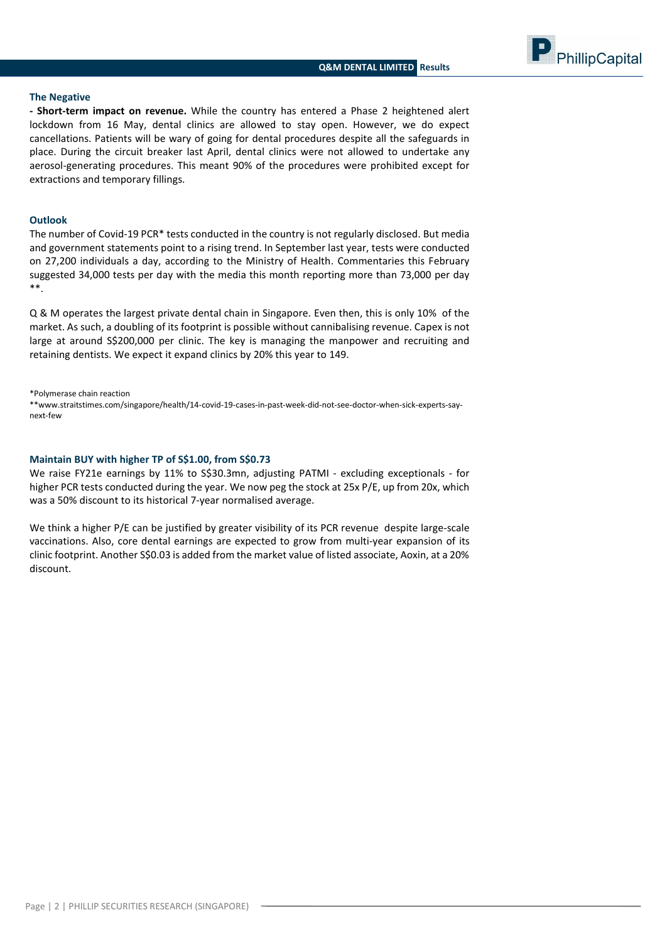

## **The Negative**

**- Short-term impact on revenue.** While the country has entered a Phase 2 heightened alert lockdown from 16 May, dental clinics are allowed to stay open. However, we do expect cancellations. Patients will be wary of going for dental procedures despite all the safeguards in place. During the circuit breaker last April, dental clinics were not allowed to undertake any aerosol-generating procedures. This meant 90% of the procedures were prohibited except for extractions and temporary fillings.

# **Outlook**

The number of Covid-19 PCR\* tests conducted in the country is not regularly disclosed. But media and government statements point to a rising trend. In September last year, tests were conducted on 27,200 individuals a day, according to the Ministry of Health. Commentaries this February suggested 34,000 tests per day with the media this month reporting more than 73,000 per day \*\*.

Q & M operates the largest private dental chain in Singapore. Even then, this is only 10% of the market. As such, a doubling of its footprint is possible without cannibalising revenue. Capex is not large at around S\$200,000 per clinic. The key is managing the manpower and recruiting and retaining dentists. We expect it expand clinics by 20% this year to 149.

\*Polymerase chain reaction

\*\*www.straitstimes.com/singapore/health/14-covid-19-cases-in-past-week-did-not-see-doctor-when-sick-experts-saynext-few

# **Maintain BUY with higher TP of S\$1.00, from S\$0.73**

We raise FY21e earnings by 11% to S\$30.3mn, adjusting PATMI - excluding exceptionals - for higher PCR tests conducted during the year. We now peg the stock at 25x P/E, up from 20x, which was a 50% discount to its historical 7-year normalised average.

We think a higher P/E can be justified by greater visibility of its PCR revenue despite large-scale vaccinations. Also, core dental earnings are expected to grow from multi-year expansion of its clinic footprint. Another S\$0.03 is added from the market value of listed associate, Aoxin, at a 20% discount.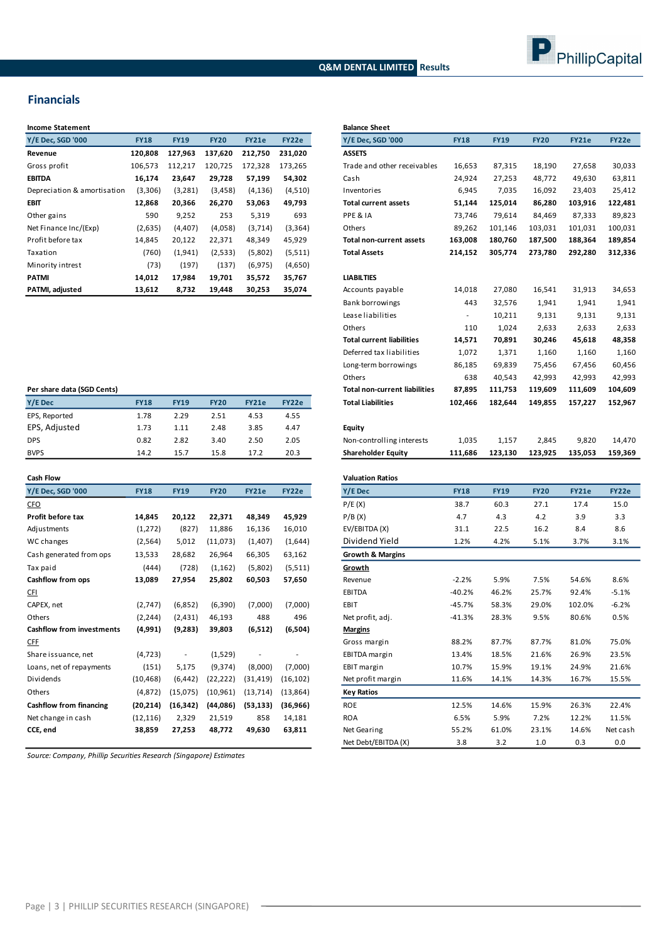# **Q&M DENTAL LIMITED Results**



# **Financials**

| <b>Income Statement</b>     |             |             |             |              |          | <b>Balance Sheet</b>  |
|-----------------------------|-------------|-------------|-------------|--------------|----------|-----------------------|
| Y/E Dec, SGD '000           | <b>FY18</b> | <b>FY19</b> | <b>FY20</b> | <b>FY21e</b> | FY22e    | Y/E Dec, SGD '        |
| Revenue                     | 120,808     | 127,963     | 137,620     | 212,750      | 231,020  | <b>ASSETS</b>         |
| Gross profit                | 106,573     | 112,217     | 120,725     | 172,328      | 173,265  | Trade and oth         |
| <b>EBITDA</b>               | 16,174      | 23,647      | 29,728      | 57,199       | 54,302   | Cash                  |
| Depreciation & amortisation | (3,306)     | (3, 281)    | (3, 458)    | (4, 136)     | (4,510)  | Inventories           |
| <b>EBIT</b>                 | 12,868      | 20,366      | 26,270      | 53,063       | 49,793   | Total current a       |
| Other gains                 | 590         | 9,252       | 253         | 5,319        | 693      | PPE & IA              |
| Net Finance Inc/(Exp)       | (2,635)     | (4, 407)    | (4,058)     | (3,714)      | (3, 364) | Others                |
| Profit before tax           | 14,845      | 20,122      | 22,371      | 48,349       | 45,929   | <b>Total non-curr</b> |
| Taxation                    | (760)       | (1,941)     | (2,533)     | (5,802)      | (5,511)  | <b>Total Assets</b>   |
| Minority intrest            | (73)        | (197)       | (137)       | (6,975)      | (4,650)  |                       |
| PATMI                       | 14,012      | 17,984      | 19,701      | 35,572       | 35,767   | <b>LIABILTIES</b>     |
| PATMI, adjusted             | 13,612      | 8,732       | 19,448      | 30,253       | 35,074   | Accounts paya         |

| Per share data (SGD Cents) |             |             |             |       |       |                |  |  |  |
|----------------------------|-------------|-------------|-------------|-------|-------|----------------|--|--|--|
| Y/E Dec                    | <b>FY18</b> | <b>FY19</b> | <b>FY20</b> | FY21e | FY22e | <b>Total L</b> |  |  |  |
| EPS, Reported              | 1.78        | 2.29        | 2.51        | 4.53  | 4.55  |                |  |  |  |
| EPS, Adjusted              | 1.73        | 1.11        | 2.48        | 3.85  | 4.47  | Equity         |  |  |  |
| <b>DPS</b>                 | 0.82        | 2.82        | 3.40        | 2.50  | 2.05  | Non-co         |  |  |  |
| <b>BVPS</b>                | 14.2        | 15.7        | 15.8        | 17.2  | 20.3  | Shareh         |  |  |  |

| <b>Cash Flow</b>                 |             |             |             |              |           |
|----------------------------------|-------------|-------------|-------------|--------------|-----------|
| Y/E Dec, SGD '000                | <b>FY18</b> | <b>FY19</b> | <b>FY20</b> | <b>FY21e</b> | FY22e     |
| <b>CFO</b>                       |             |             |             |              |           |
| Profit before tax                | 14,845      | 20,122      | 22,371      | 48,349       | 45,929    |
| Adjustments                      | (1,272)     | (827)       | 11,886      | 16,136       | 16,010    |
| WC changes                       | (2, 564)    | 5,012       | (11,073)    | (1, 407)     | (1,644)   |
| Cash generated from ops          | 13,533      | 28,682      | 26,964      | 66,305       | 63,162    |
| Tax paid                         | (444)       | (728)       | (1, 162)    | (5,802)      | (5,511)   |
| Cashflow from ops                | 13,089      | 27,954      | 25,802      | 60,503       | 57,650    |
| CFI                              |             |             |             |              |           |
| CAPEX, net                       | (2,747)     | (6,852)     | (6,390)     | (7,000)      | (7,000)   |
| Others                           | (2, 244)    | (2, 431)    | 46,193      | 488          | 496       |
| <b>Cashflow from investments</b> | (4,991)     | (9,283)     | 39,803      | (6,512)      | (6,504)   |
| <b>CFF</b>                       |             |             |             |              |           |
| Share issuance, net              | (4, 723)    |             | (1,529)     |              |           |
| Loans, net of repayments         | (151)       | 5,175       | (9,374)     | (8,000)      | (7,000)   |
| Dividends                        | (10, 468)   | (6, 442)    | (22, 222)   | (31, 419)    | (16, 102) |
| Others                           | (4,872)     | (15,075)    | (10, 961)   | (13, 714)    | (13, 864) |
| Cashflow from financing          | (20, 214)   | (16, 342)   | (44,086)    | (53, 133)    | (36,966)  |
| Net change in cash               | (12, 116)   | 2,329       | 21,519      | 858          | 14,181    |
| CCE, end                         | 38,859      | 27,253      | 48,772      | 49,630       | 63,811    |
|                                  |             |             |             |              |           |

*Source: Company, Phillip Securities Research (Singapore) Estimates*

| Income Statement            |             |             |             |              |          | <b>Balance Sheet</b>                 |             |             |             |              |         |
|-----------------------------|-------------|-------------|-------------|--------------|----------|--------------------------------------|-------------|-------------|-------------|--------------|---------|
| Y/E Dec, SGD '000           | <b>FY18</b> | <b>FY19</b> | <b>FY20</b> | FY21e        | FY22e    | Y/E Dec, SGD '000                    | <b>FY18</b> | <b>FY19</b> | <b>FY20</b> | <b>FY21e</b> | FY22e   |
| Revenue                     | 120,808     | 127,963     | 137,620     | 212,750      | 231,020  | <b>ASSETS</b>                        |             |             |             |              |         |
| Gross profit                | 106,573     | 112,217     | 120,725     | 172,328      | 173,265  | Trade and other receivables          | 16,653      | 87,315      | 18,190      | 27,658       | 30,033  |
| EBITDA                      | 16,174      | 23,647      | 29,728      | 57,199       | 54,302   | Cash                                 | 24,924      | 27,253      | 48,772      | 49,630       | 63,811  |
| Depreciation & amortisation | (3,306)     | (3, 281)    | (3, 458)    | (4, 136)     | (4,510)  | Inventories                          | 6,945       | 7,035       | 16,092      | 23,403       | 25,412  |
| EBIT                        | 12,868      | 20,366      | 26,270      | 53,063       | 49,793   | <b>Total current assets</b>          | 51,144      | 125,014     | 86,280      | 103,916      | 122,481 |
| Other gains                 | 590         | 9,252       | 253         | 5,319        | 693      | PPE & IA                             | 73,746      | 79,614      | 84,469      | 87,333       | 89,823  |
| Net Finance Inc/(Exp)       | (2,635)     | (4, 407)    | (4,058)     | (3,714)      | (3, 364) | Others                               | 89,262      | 101,146     | 103,031     | 101,031      | 100,031 |
| Profit before tax           | 14,845      | 20,122      | 22,371      | 48,349       | 45,929   | <b>Total non-current assets</b>      | 163,008     | 180,760     | 187,500     | 188,364      | 189,854 |
| Taxation                    | (760)       | (1, 941)    | (2,533)     | (5,802)      | (5,511)  | <b>Total Assets</b>                  | 214,152     | 305,774     | 273,780     | 292,280      | 312,336 |
| Minority intrest            | (73)        | (197)       | (137)       | (6, 975)     | (4,650)  |                                      |             |             |             |              |         |
| PATMI                       | 14,012      | 17,984      | 19,701      | 35,572       | 35,767   | <b>LIABILTIES</b>                    |             |             |             |              |         |
| PATMI, adjusted             | 13,612      | 8,732       | 19,448      | 30,253       | 35,074   | Accounts payable                     | 14,018      | 27,080      | 16,541      | 31,913       | 34,653  |
|                             |             |             |             |              |          | Bank borrowings                      | 443         | 32,576      | 1,941       | 1,941        | 1,941   |
|                             |             |             |             |              |          | Lease liabilities                    |             | 10,211      | 9,131       | 9,131        | 9,131   |
|                             |             |             |             |              |          | Others                               | 110         | 1,024       | 2,633       | 2,633        | 2,633   |
|                             |             |             |             |              |          | <b>Total current liabilities</b>     | 14,571      | 70,891      | 30,246      | 45,618       | 48,358  |
|                             |             |             |             |              |          | Deferred tax liabilities             | 1,072       | 1,371       | 1,160       | 1,160        | 1,160   |
|                             |             |             |             |              |          | Long-term borrowings                 | 86,185      | 69,839      | 75,456      | 67,456       | 60,456  |
|                             |             |             |             |              |          | Others                               | 638         | 40,543      | 42,993      | 42,993       | 42,993  |
| Per share data (SGD Cents)  |             |             |             |              |          | <b>Total non-current liabilities</b> | 87,895      | 111,753     | 119,609     | 111,609      | 104,609 |
| Y/E Dec                     | <b>FY18</b> | <b>FY19</b> | <b>FY20</b> | FY21e        | FY22e    | <b>Total Liabilities</b>             | 102,466     | 182,644     | 149,855     | 157,227      | 152,967 |
| EPS, Reported               | 1.78        | 2.29        | 2.51        | 4.53         | 4.55     |                                      |             |             |             |              |         |
| EPS, Adjusted               | 1.73        | 1.11        | 2.48        | 3.85         | 4.47     | Equity                               |             |             |             |              |         |
| DPS                         | 0.82        | 2.82        | 3.40        | 2.50         | 2.05     | Non-controlling interests            | 1,035       | 1,157       | 2,845       | 9,820        | 14,470  |
| BVPS                        | 14.2        | 15.7        | 15.8        | 17.2         | 20.3     | <b>Shareholder Equity</b>            | 111,686     | 123,130     | 123,925     | 135,053      | 159,369 |
|                             |             |             |             |              |          |                                      |             |             |             |              |         |
| Cash Flow                   |             |             |             |              |          | <b>Valuation Ratios</b>              |             |             |             |              |         |
| Y/E Dec. SGD '000           | <b>FY18</b> | <b>FY19</b> | <b>FY20</b> | <b>FY21e</b> | FY22e    | Y/E Dec                              | <b>FY18</b> | <b>FY19</b> | <b>FY20</b> | <b>FY21e</b> | FY22e   |
| CFO                         |             |             |             |              |          | P/E(X)                               | 38.7        | 60.3        | 27.1        | 17.4         | 15.0    |
| Profit before tax           | 14,845      | 20,122      | 22,371      | 48,349       | 45,929   | P/B(X)                               | 4.7         | 4.3         | 4.2         | 3.9          | 3.3     |
| Adjustments                 | (1,272)     | (827)       | 11,886      | 16,136       | 16,010   | EV/EBITDA (X)                        | 31.1        | 22.5        | 16.2        | 8.4          | 8.6     |
| WC changes                  | (2, 564)    | 5,012       | (11,073)    | (1,407)      | (1,644)  | Dividend Yield                       | 1.2%        | 4.2%        | 5.1%        | 3.7%         | 3.1%    |

| WC changes                     | (2, 564)  | 5,012     | (11,073)  | (1,407)   | (1,644)   | Dividend Yield              | 1.2%     | 4.2%  | 5.1%  | 3.7%   | 3.1%     |
|--------------------------------|-----------|-----------|-----------|-----------|-----------|-----------------------------|----------|-------|-------|--------|----------|
| Cash generated from ops        | 13,533    | 28,682    | 26,964    | 66,305    | 63,162    | <b>Growth &amp; Margins</b> |          |       |       |        |          |
| Tax paid                       | (444)     | (728)     | (1, 162)  | (5,802)   | (5,511)   | Growth                      |          |       |       |        |          |
| Cashflow from ops              | 13,089    | 27,954    | 25,802    | 60,503    | 57,650    | Revenue                     | $-2.2%$  | 5.9%  | 7.5%  | 54.6%  | 8.6%     |
| CFI                            |           |           |           |           |           | EBITDA                      | $-40.2%$ | 46.2% | 25.7% | 92.4%  | $-5.1%$  |
| CAPEX, net                     | (2,747)   | (6,852)   | (6,390)   | (7,000)   | (7,000)   | EBIT                        | $-45.7%$ | 58.3% | 29.0% | 102.0% | $-6.2%$  |
| Others                         | (2, 244)  | (2, 431)  | 46,193    | 488       | 496       | Net profit, adj.            | $-41.3%$ | 28.3% | 9.5%  | 80.6%  | 0.5%     |
| Cashflow from investments      | (4,991)   | (9,283)   | 39,803    | (6,512)   | (6,504)   | <b>Margins</b>              |          |       |       |        |          |
| CFF                            |           |           |           |           |           | Gross margin                | 88.2%    | 87.7% | 87.7% | 81.0%  | 75.0%    |
| Share issuance, net            | (4, 723)  | $\sim$    | (1,529)   |           |           | EBITDA margin               | 13.4%    | 18.5% | 21.6% | 26.9%  | 23.5%    |
| Loans, net of repayments       | (151)     | 5,175     | (9,374)   | (8,000)   | (7,000)   | EBIT margin                 | 10.7%    | 15.9% | 19.1% | 24.9%  | 21.6%    |
| Dividends                      | (10, 468) | (6, 442)  | (22, 222) | (31, 419) | (16, 102) | Net profit margin           | 11.6%    | 14.1% | 14.3% | 16.7%  | 15.5%    |
| Others                         | (4,872)   | (15,075)  | (10, 961) | (13, 714) | (13, 864) | <b>Key Ratios</b>           |          |       |       |        |          |
| <b>Cashflow from financing</b> | (20, 214) | (16, 342) | (44,086)  | (53, 133) | (36,966)  | <b>ROE</b>                  | 12.5%    | 14.6% | 15.9% | 26.3%  | 22.4%    |
| Net change in cash             | (12, 116) | 2,329     | 21,519    | 858       | 14,181    | <b>ROA</b>                  | 6.5%     | 5.9%  | 7.2%  | 12.2%  | 11.5%    |
| CCE, end                       | 38,859    | 27,253    | 48,772    | 49,630    | 63,811    | Net Gearing                 | 55.2%    | 61.0% | 23.1% | 14.6%  | Net cash |
|                                |           |           |           |           |           | Net Debt/EBITDA (X)         | 3.8      | 3.2   | 1.0   | 0.3    | 0.0      |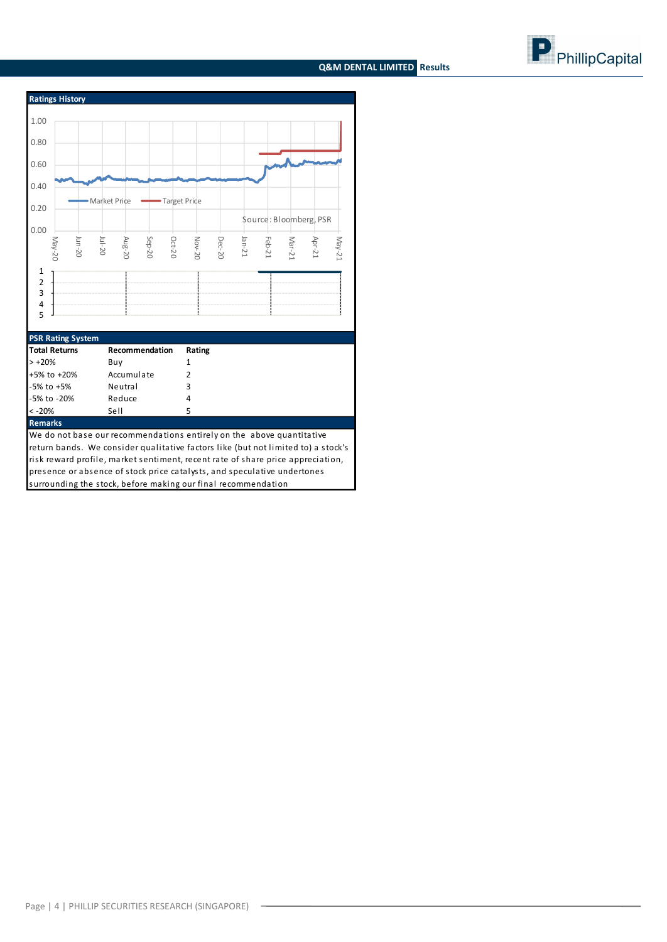# **Q&M DENTAL LIMITED Results**





**Remarks**

We do not base our recommendations entirely on the above quantitative return bands. We consider qualitative factors like (but not limited to) a stock's risk reward profile, market sentiment, recent rate of share price appreciation, presence or absence of stock price catalysts, and speculative undertones surrounding the stock, before making our final recommendation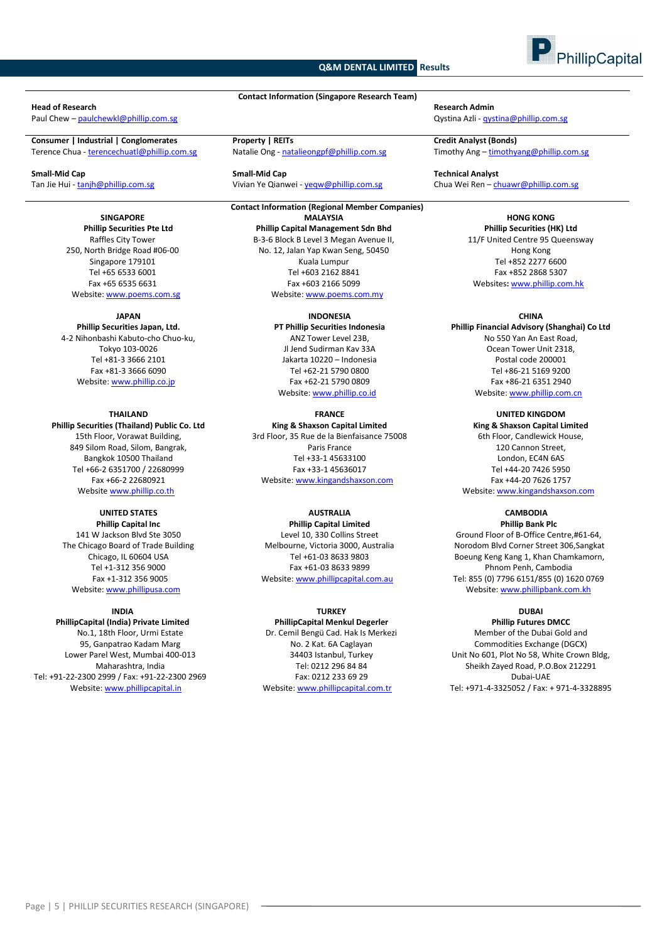# **Q&M DENTAL LIMITED Results**



#### **Head of Research Research Admin**

**Consumer | Industrial | Conglomerates Property | REITs Credit Analyst (Bonds)**

**SINGAPORE Phillip Securities Pte Ltd** Raffles City Tower 250, North Bridge Road #06-00 Singapore 179101 Tel +65 6533 6001 Fax +65 6535 6631 Website: www.poems.com.sg

#### **JAPAN**

**Phillip Securities Japan, Ltd.** 4-2 Nihonbashi Kabuto-cho Chuo-ku, Tokyo 103-0026 Tel +81-3 3666 2101 Fax +81-3 3666 6090 Website[: www.phillip.co.jp](http://www.phillip.co.jp/)

**THAILAND Phillip Securities (Thailand) Public Co. Ltd** 15th Floor, Vorawat Building, 849 Silom Road, Silom, Bangrak, Bangkok 10500 Thailand Tel +66-2 6351700 / 22680999 Fax +66-2 22680921 Website [www.phillip.co.th](http://www.phillip.co.th/)

# **UNITED STATES**

**Phillip Capital Inc** 141 W Jackson Blvd Ste 3050 The Chicago Board of Trade Building Chicago, IL 60604 USA Tel +1-312 356 9000 Fax +1-312 356 9005 Website[: www.phillipusa.com](http://www.phillipusa.com/)

#### **INDIA**

**PhillipCapital (India) Private Limited** No.1, 18th Floor, Urmi Estate 95, Ganpatrao Kadam Marg Lower Parel West, Mumbai 400-013 Maharashtra, India Tel: +91-22-2300 2999 / Fax: +91-22-2300 2969 Website[: www.phillipcapital.in](http://www.phillipcapital.in/)

**Contact Information (Singapore Research Team)**

**Small-Mid Cap Small-Mid Cap Technical Analyst**

**Contact Information (Regional Member Companies) MALAYSIA Phillip Capital Management Sdn Bhd** B-3-6 Block B Level 3 Megan Avenue II, No. 12, Jalan Yap Kwan Seng, 50450 Kuala Lumpur Tel +603 2162 8841 Fax +603 2166 5099 Website[: www.poems.com.my](http://www.poems.com.my/)

# **INDONESIA**

**PT Phillip Securities Indonesia** ANZ Tower Level 23B, Jl Jend Sudirman Kav 33A Jakarta 10220 – Indonesia Tel +62-21 5790 0800 Fax +62-21 5790 0809 Website: [www.phillip.co.id](http://www.phillip.co.id/)

**FRANCE**

**King & Shaxson Capital Limited** 3rd Floor, 35 Rue de la Bienfaisance 75008 Paris France Tel +33-1 45633100 Fax +33-1 45636017 Website[: www.kingandshaxson.com](http://www.kingandshaxson.com/)

# **AUSTRALIA**

**Phillip Capital Limited** Level 10, 330 Collins Street Melbourne, Victoria 3000, Australia Tel +61-03 8633 9803 Fax +61-03 8633 9899 Website[: www.phillipcapital.com.au](http://www.phillipcapital.com.au/)

# **TURKEY**

**PhillipCapital Menkul Degerler** Dr. Cemil Bengü Cad. Hak Is Merkezi No. 2 Kat. 6A Caglayan 34403 Istanbul, Turkey Tel: 0212 296 84 84 Fax: 0212 233 69 29 Website[: www.phillipcapital.com.tr](http://www.phillipcapital.com.tr/)

Paul Chew – [paulchewkl@phillip.com.sg](mailto:paulchewkl@phillip.com.sg) Qystina Azli - [qystina@phillip.com.sg](mailto:qystina@phillip.com.sg)

Timothy Ang - timothyang@phillip.com.sg

Tan Jie Hui - tanjh@phillip.com.sg 
Yivian Ye Qianwei - yeqw@phillip.com.sg Chua Wei Ren – [chuawr@phillip.com.sg](mailto:chuawr@phillip.com.sg) Chua Wei Ren – chuawr@phillip.com.sg

### **HONG KONG Phillip Securities (HK) Ltd** 11/F United Centre 95 Queensway Hong Kong Tel +852 2277 6600 Fax +852 2868 5307 Websites**:** [www.phillip.com.hk](http://www.phillip.com.hk/)

#### **CHINA**

**Phillip Financial Advisory (Shanghai) Co Ltd** No 550 Yan An East Road, Ocean Tower Unit 2318, Postal code 200001 Tel +86-21 5169 9200 Fax +86-21 6351 2940 Website[: www.phillip.com.cn](http://www.phillip.com.cn/)

**UNITED KINGDOM King & Shaxson Capital Limited** 6th Floor, Candlewick House, 120 Cannon Street, London, EC4N 6AS Tel +44-20 7426 5950 Fax +44-20 7626 1757 Website[: www.kingandshaxson.com](http://www.kingandshaxson.com/)

**CAMBODIA**

**Phillip Bank Plc** Ground Floor of B-Office Centre,#61-64, Norodom Blvd Corner Street 306,Sangkat Boeung Keng Kang 1, Khan Chamkamorn, Phnom Penh, Cambodia Tel: 855 (0) 7796 6151/855 (0) 1620 0769 Website[: www.phillipbank.com.kh](http://www.phillipbank.com.kh/)

#### **DUBAI Phillip Futures DMCC**

Member of the Dubai Gold and Commodities Exchange (DGCX) Unit No 601, Plot No 58, White Crown Bldg, Sheikh Zayed Road, P.O.Box 212291 Dubai-UAE Tel: +971-4-3325052 / Fax: + 971-4-3328895